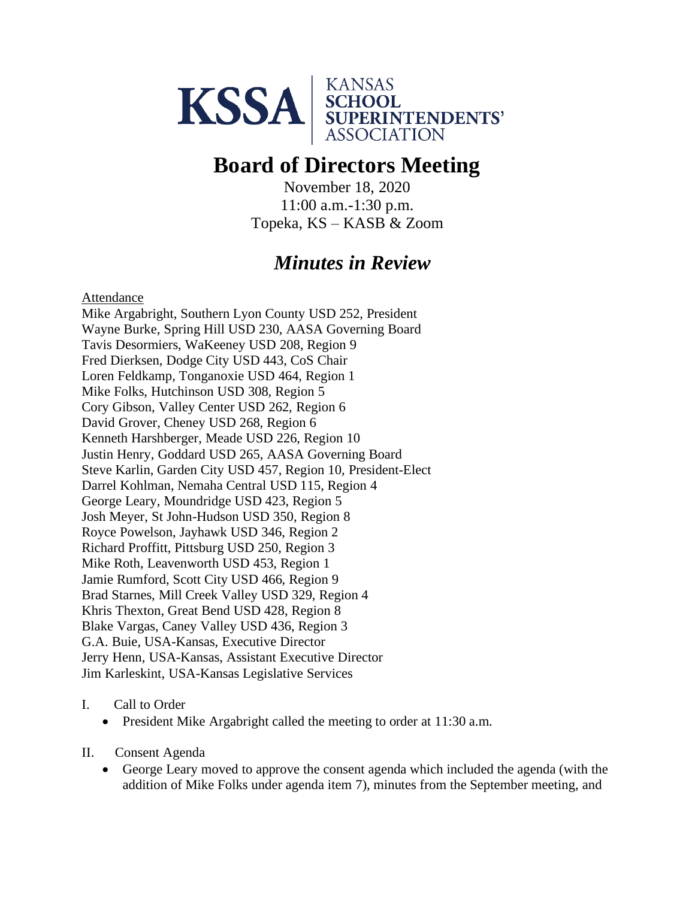

# **Board of Directors Meeting**

November 18, 2020 11:00 a.m.-1:30 p.m. Topeka, KS – KASB & Zoom

## *Minutes in Review*

Attendance

Mike Argabright, Southern Lyon County USD 252, President Wayne Burke, Spring Hill USD 230, AASA Governing Board Tavis Desormiers, WaKeeney USD 208, Region 9 Fred Dierksen, Dodge City USD 443, CoS Chair Loren Feldkamp, Tonganoxie USD 464, Region 1 Mike Folks, Hutchinson USD 308, Region 5 Cory Gibson, Valley Center USD 262, Region 6 David Grover, Cheney USD 268, Region 6 Kenneth Harshberger, Meade USD 226, Region 10 Justin Henry, Goddard USD 265, AASA Governing Board Steve Karlin, Garden City USD 457, Region 10, President-Elect Darrel Kohlman, Nemaha Central USD 115, Region 4 George Leary, Moundridge USD 423, Region 5 Josh Meyer, St John-Hudson USD 350, Region 8 Royce Powelson, Jayhawk USD 346, Region 2 Richard Proffitt, Pittsburg USD 250, Region 3 Mike Roth, Leavenworth USD 453, Region 1 Jamie Rumford, Scott City USD 466, Region 9 Brad Starnes, Mill Creek Valley USD 329, Region 4 Khris Thexton, Great Bend USD 428, Region 8 Blake Vargas, Caney Valley USD 436, Region 3 G.A. Buie, USA-Kansas, Executive Director Jerry Henn, USA-Kansas, Assistant Executive Director Jim Karleskint, USA-Kansas Legislative Services

### I. Call to Order

- President Mike Argabright called the meeting to order at 11:30 a.m.
- II. Consent Agenda
	- George Leary moved to approve the consent agenda which included the agenda (with the addition of Mike Folks under agenda item 7), minutes from the September meeting, and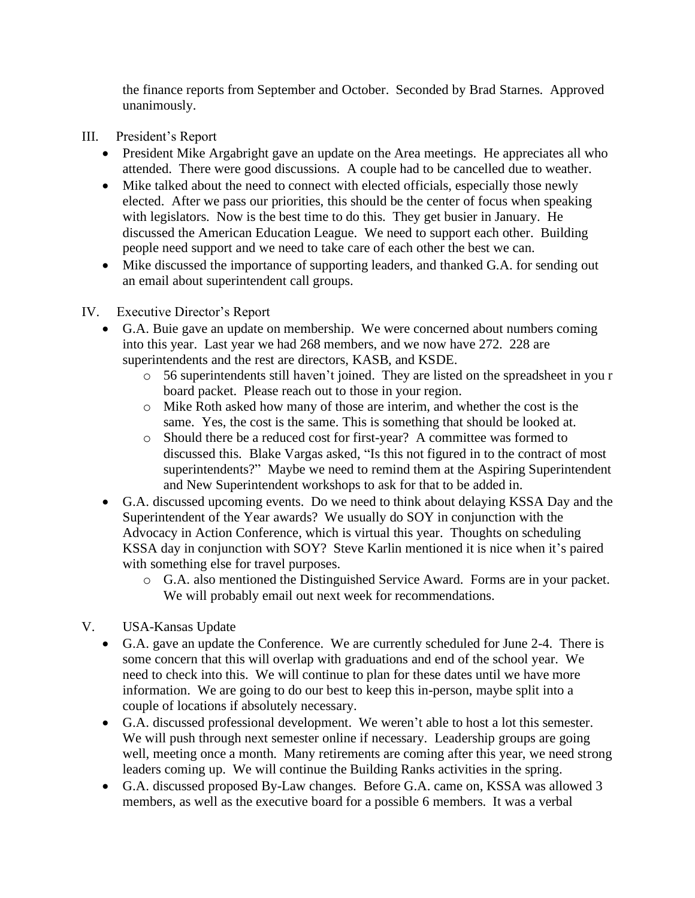the finance reports from September and October. Seconded by Brad Starnes. Approved unanimously.

- III. President's Report
	- President Mike Argabright gave an update on the Area meetings. He appreciates all who attended. There were good discussions. A couple had to be cancelled due to weather.
	- Mike talked about the need to connect with elected officials, especially those newly elected. After we pass our priorities, this should be the center of focus when speaking with legislators. Now is the best time to do this. They get busier in January. He discussed the American Education League. We need to support each other. Building people need support and we need to take care of each other the best we can.
	- Mike discussed the importance of supporting leaders, and thanked G.A. for sending out an email about superintendent call groups.
- IV. Executive Director's Report
	- G.A. Buie gave an update on membership. We were concerned about numbers coming into this year. Last year we had 268 members, and we now have 272. 228 are superintendents and the rest are directors, KASB, and KSDE.
		- o 56 superintendents still haven't joined. They are listed on the spreadsheet in you r board packet. Please reach out to those in your region.
		- o Mike Roth asked how many of those are interim, and whether the cost is the same. Yes, the cost is the same. This is something that should be looked at.
		- o Should there be a reduced cost for first-year? A committee was formed to discussed this. Blake Vargas asked, "Is this not figured in to the contract of most superintendents?" Maybe we need to remind them at the Aspiring Superintendent and New Superintendent workshops to ask for that to be added in.
	- G.A. discussed upcoming events. Do we need to think about delaying KSSA Day and the Superintendent of the Year awards? We usually do SOY in conjunction with the Advocacy in Action Conference, which is virtual this year. Thoughts on scheduling KSSA day in conjunction with SOY? Steve Karlin mentioned it is nice when it's paired with something else for travel purposes.
		- o G.A. also mentioned the Distinguished Service Award. Forms are in your packet. We will probably email out next week for recommendations.
- V. USA-Kansas Update
	- G.A. gave an update the Conference. We are currently scheduled for June 2-4. There is some concern that this will overlap with graduations and end of the school year. We need to check into this. We will continue to plan for these dates until we have more information. We are going to do our best to keep this in-person, maybe split into a couple of locations if absolutely necessary.
	- G.A. discussed professional development. We weren't able to host a lot this semester. We will push through next semester online if necessary. Leadership groups are going well, meeting once a month. Many retirements are coming after this year, we need strong leaders coming up. We will continue the Building Ranks activities in the spring.
	- G.A. discussed proposed By-Law changes. Before G.A. came on, KSSA was allowed 3 members, as well as the executive board for a possible 6 members. It was a verbal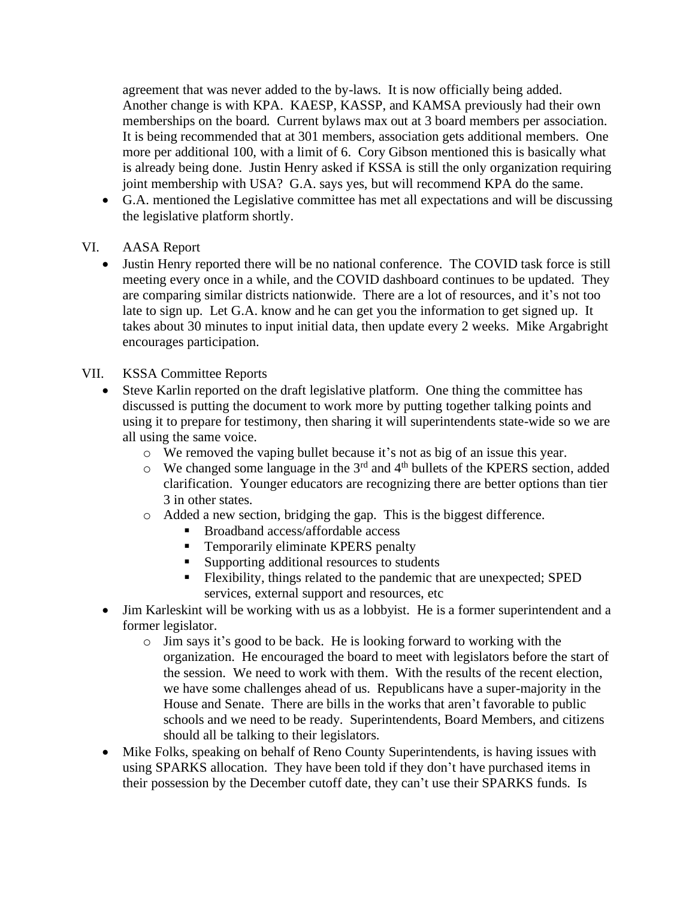agreement that was never added to the by-laws. It is now officially being added. Another change is with KPA. KAESP, KASSP, and KAMSA previously had their own memberships on the board. Current bylaws max out at 3 board members per association. It is being recommended that at 301 members, association gets additional members. One more per additional 100, with a limit of 6. Cory Gibson mentioned this is basically what is already being done. Justin Henry asked if KSSA is still the only organization requiring joint membership with USA? G.A. says yes, but will recommend KPA do the same.

• G.A. mentioned the Legislative committee has met all expectations and will be discussing the legislative platform shortly.

### VI. AASA Report

• Justin Henry reported there will be no national conference. The COVID task force is still meeting every once in a while, and the COVID dashboard continues to be updated. They are comparing similar districts nationwide. There are a lot of resources, and it's not too late to sign up. Let G.A. know and he can get you the information to get signed up. It takes about 30 minutes to input initial data, then update every 2 weeks. Mike Argabright encourages participation.

### VII. KSSA Committee Reports

- Steve Karlin reported on the draft legislative platform. One thing the committee has discussed is putting the document to work more by putting together talking points and using it to prepare for testimony, then sharing it will superintendents state-wide so we are all using the same voice.
	- o We removed the vaping bullet because it's not as big of an issue this year.
	- $\circ$  We changed some language in the 3<sup>rd</sup> and 4<sup>th</sup> bullets of the KPERS section, added clarification. Younger educators are recognizing there are better options than tier 3 in other states.
	- o Added a new section, bridging the gap. This is the biggest difference.
		- Broadband access/affordable access
		- **•** Temporarily eliminate KPERS penalty
		- Supporting additional resources to students
		- Flexibility, things related to the pandemic that are unexpected; SPED services, external support and resources, etc
- Jim Karleskint will be working with us as a lobbyist. He is a former superintendent and a former legislator.
	- o Jim says it's good to be back. He is looking forward to working with the organization. He encouraged the board to meet with legislators before the start of the session. We need to work with them. With the results of the recent election, we have some challenges ahead of us. Republicans have a super-majority in the House and Senate. There are bills in the works that aren't favorable to public schools and we need to be ready. Superintendents, Board Members, and citizens should all be talking to their legislators.
- Mike Folks, speaking on behalf of Reno County Superintendents, is having issues with using SPARKS allocation. They have been told if they don't have purchased items in their possession by the December cutoff date, they can't use their SPARKS funds. Is